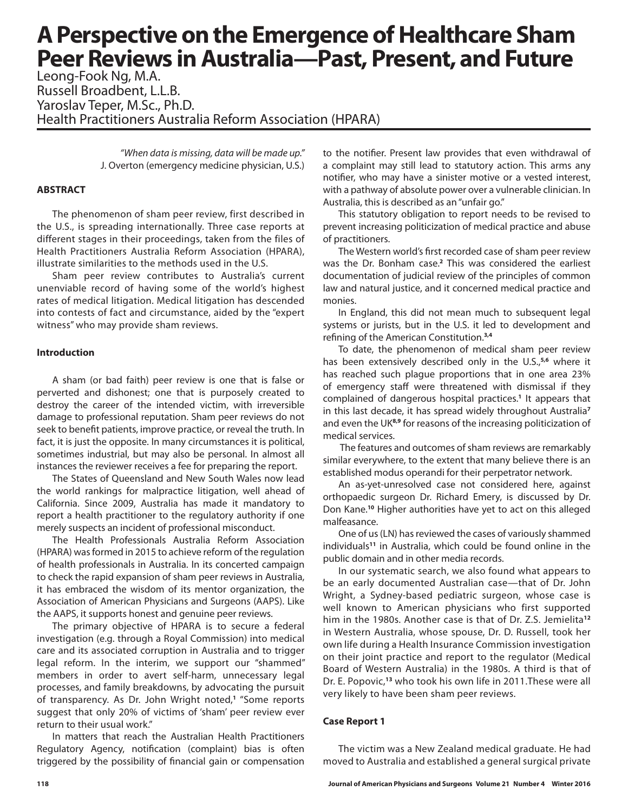## **A Perspective on the Emergence of Healthcare Sham Peer Reviews in Australia—Past, Present, and Future**

Leong-Fook Ng, M.A. Russell Broadbent, L.L.B. Yaroslav Teper, M.Sc., Ph.D. Health Practitioners Australia Reform Association (HPARA)

> *"When data is missing, data will be made up."*  J. Overton (emergency medicine physician, U.S.)

#### **ABSTRACT**

The phenomenon of sham peer review, first described in the U.S., is spreading internationally. Three case reports at different stages in their proceedings, taken from the files of Health Practitioners Australia Reform Association (HPARA), illustrate similarities to the methods used in the U.S.

Sham peer review contributes to Australia's current unenviable record of having some of the world's highest rates of medical litigation. Medical litigation has descended into contests of fact and circumstance, aided by the "expert witness" who may provide sham reviews.

#### **Introduction**

A sham (or bad faith) peer review is one that is false or perverted and dishonest; one that is purposely created to destroy the career of the intended victim, with irreversible damage to professional reputation. Sham peer reviews do not seek to benefit patients, improve practice, or reveal the truth. In fact, it is just the opposite. In many circumstances it is political, sometimes industrial, but may also be personal. In almost all instances the reviewer receives a fee for preparing the report.

The States of Queensland and New South Wales now lead the world rankings for malpractice litigation, well ahead of California. Since 2009, Australia has made it mandatory to report a health practitioner to the regulatory authority if one merely suspects an incident of professional misconduct.

The Health Professionals Australia Reform Association (HPARA) was formed in 2015 to achieve reform of the regulation of health professionals in Australia. In its concerted campaign to check the rapid expansion of sham peer reviews in Australia, it has embraced the wisdom of its mentor organization, the Association of American Physicians and Surgeons (AAPS). Like the AAPS, it supports honest and genuine peer reviews.

The primary objective of HPARA is to secure a federal investigation (e.g. through a Royal Commission) into medical care and its associated corruption in Australia and to trigger legal reform. In the interim, we support our "shammed" members in order to avert self-harm, unnecessary legal processes, and family breakdowns, by advocating the pursuit of transparency. As Dr. John Wright noted,**<sup>1</sup>** "Some reports suggest that only 20% of victims of 'sham' peer review ever return to their usual work."

In matters that reach the Australian Health Practitioners Regulatory Agency, notification (complaint) bias is often triggered by the possibility of financial gain or compensation to the notifier. Present law provides that even withdrawal of a complaint may still lead to statutory action. This arms any notifier, who may have a sinister motive or a vested interest, with a pathway of absolute power over a vulnerable clinician. In Australia, this is described as an "unfair go."

This statutory obligation to report needs to be revised to prevent increasing politicization of medical practice and abuse of practitioners.

The Western world's first recorded case of sham peer review was the Dr. Bonham case.**<sup>2</sup>** This was considered the earliest documentation of judicial review of the principles of common law and natural justice, and it concerned medical practice and monies.

In England, this did not mean much to subsequent legal systems or jurists, but in the U.S. it led to development and refining of the American Constitution.**3,4**

To date, the phenomenon of medical sham peer review has been extensively described only in the U.S.,**5,6** where it has reached such plague proportions that in one area 23% of emergency staff were threatened with dismissal if they complained of dangerous hospital practices.**<sup>1</sup>** It appears that in this last decade, it has spread widely throughout Australia**<sup>7</sup>** and even the UK**8,9** for reasons of the increasing politicization of medical services.

 The features and outcomes of sham reviews are remarkably similar everywhere, to the extent that many believe there is an established modus operandi for their perpetrator network.

An as-yet-unresolved case not considered here, against orthopaedic surgeon Dr. Richard Emery, is discussed by Dr. Don Kane.**<sup>10</sup>** Higher authorities have yet to act on this alleged malfeasance.

One of us (LN) has reviewed the cases of variously shammed individuals**<sup>11</sup>** in Australia, which could be found online in the public domain and in other media records.

In our systematic search, we also found what appears to be an early documented Australian case—that of Dr. John Wright, a Sydney-based pediatric surgeon, whose case is well known to American physicians who first supported him in the 1980s. Another case is that of Dr. Z.S. Jemielita**<sup>12</sup>** in Western Australia, whose spouse, Dr. D. Russell, took her own life during a Health Insurance Commission investigation on their joint practice and report to the regulator (Medical Board of Western Australia) in the 1980s. A third is that of Dr. E. Popovic,**<sup>13</sup>** who took his own life in 2011.These were all very likely to have been sham peer reviews.

#### **Case Report 1**

The victim was a New Zealand medical graduate. He had moved to Australia and established a general surgical private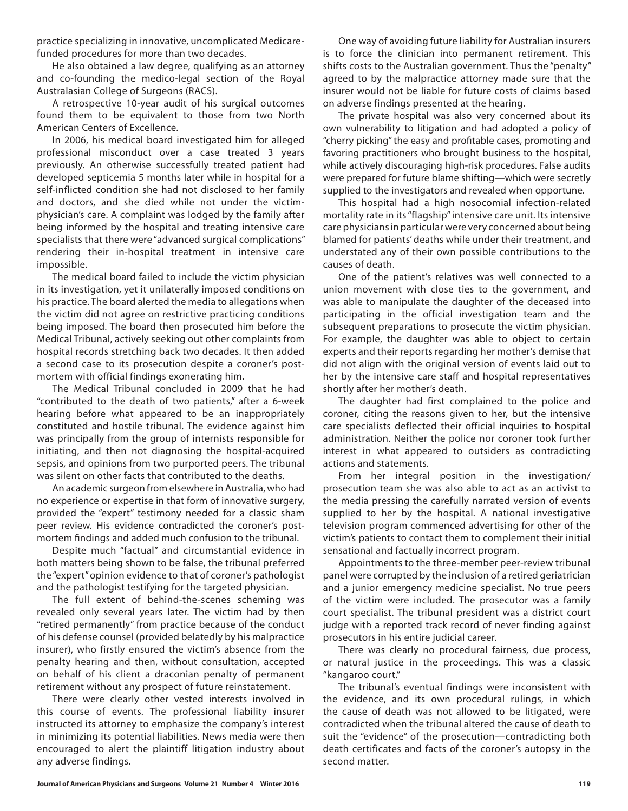practice specializing in innovative, uncomplicated Medicarefunded procedures for more than two decades.

He also obtained a law degree, qualifying as an attorney and co-founding the medico-legal section of the Royal Australasian College of Surgeons (RACS).

A retrospective 10-year audit of his surgical outcomes found them to be equivalent to those from two North American Centers of Excellence.

In 2006, his medical board investigated him for alleged professional misconduct over a case treated 3 years previously. An otherwise successfully treated patient had developed septicemia 5 months later while in hospital for a self-inflicted condition she had not disclosed to her family and doctors, and she died while not under the victimphysician's care. A complaint was lodged by the family after being informed by the hospital and treating intensive care specialists that there were "advanced surgical complications" rendering their in-hospital treatment in intensive care impossible.

The medical board failed to include the victim physician in its investigation, yet it unilaterally imposed conditions on his practice. The board alerted the media to allegations when the victim did not agree on restrictive practicing conditions being imposed. The board then prosecuted him before the Medical Tribunal, actively seeking out other complaints from hospital records stretching back two decades. It then added a second case to its prosecution despite a coroner's postmortem with official findings exonerating him.

The Medical Tribunal concluded in 2009 that he had "contributed to the death of two patients," after a 6-week hearing before what appeared to be an inappropriately constituted and hostile tribunal. The evidence against him was principally from the group of internists responsible for initiating, and then not diagnosing the hospital-acquired sepsis, and opinions from two purported peers. The tribunal was silent on other facts that contributed to the deaths.

An academic surgeon from elsewhere in Australia, who had no experience or expertise in that form of innovative surgery, provided the "expert" testimony needed for a classic sham peer review. His evidence contradicted the coroner's postmortem findings and added much confusion to the tribunal.

Despite much "factual" and circumstantial evidence in both matters being shown to be false, the tribunal preferred the "expert" opinion evidence to that of coroner's pathologist and the pathologist testifying for the targeted physician.

The full extent of behind-the-scenes scheming was revealed only several years later. The victim had by then "retired permanently" from practice because of the conduct of his defense counsel (provided belatedly by his malpractice insurer), who firstly ensured the victim's absence from the penalty hearing and then, without consultation, accepted on behalf of his client a draconian penalty of permanent retirement without any prospect of future reinstatement.

There were clearly other vested interests involved in this course of events. The professional liability insurer instructed its attorney to emphasize the company's interest in minimizing its potential liabilities. News media were then encouraged to alert the plaintiff litigation industry about any adverse findings.

One way of avoiding future liability for Australian insurers is to force the clinician into permanent retirement. This shifts costs to the Australian government. Thus the "penalty" agreed to by the malpractice attorney made sure that the insurer would not be liable for future costs of claims based on adverse findings presented at the hearing.

The private hospital was also very concerned about its own vulnerability to litigation and had adopted a policy of "cherry picking" the easy and profitable cases, promoting and favoring practitioners who brought business to the hospital, while actively discouraging high-risk procedures. False audits were prepared for future blame shifting—which were secretly supplied to the investigators and revealed when opportune.

This hospital had a high nosocomial infection-related mortality rate in its "flagship" intensive care unit. Its intensive care physicians in particular were very concerned about being blamed for patients' deaths while under their treatment, and understated any of their own possible contributions to the causes of death.

One of the patient's relatives was well connected to a union movement with close ties to the government, and was able to manipulate the daughter of the deceased into participating in the official investigation team and the subsequent preparations to prosecute the victim physician. For example, the daughter was able to object to certain experts and their reports regarding her mother's demise that did not align with the original version of events laid out to her by the intensive care staff and hospital representatives shortly after her mother's death.

The daughter had first complained to the police and coroner, citing the reasons given to her, but the intensive care specialists deflected their official inquiries to hospital administration. Neither the police nor coroner took further interest in what appeared to outsiders as contradicting actions and statements.

From her integral position in the investigation/ prosecution team she was also able to act as an activist to the media pressing the carefully narrated version of events supplied to her by the hospital. A national investigative television program commenced advertising for other of the victim's patients to contact them to complement their initial sensational and factually incorrect program.

Appointments to the three-member peer-review tribunal panel were corrupted by the inclusion of a retired geriatrician and a junior emergency medicine specialist. No true peers of the victim were included. The prosecutor was a family court specialist. The tribunal president was a district court judge with a reported track record of never finding against prosecutors in his entire judicial career.

There was clearly no procedural fairness, due process, or natural justice in the proceedings. This was a classic "kangaroo court."

The tribunal's eventual findings were inconsistent with the evidence, and its own procedural rulings, in which the cause of death was not allowed to be litigated, were contradicted when the tribunal altered the cause of death to suit the "evidence" of the prosecution—contradicting both death certificates and facts of the coroner's autopsy in the second matter.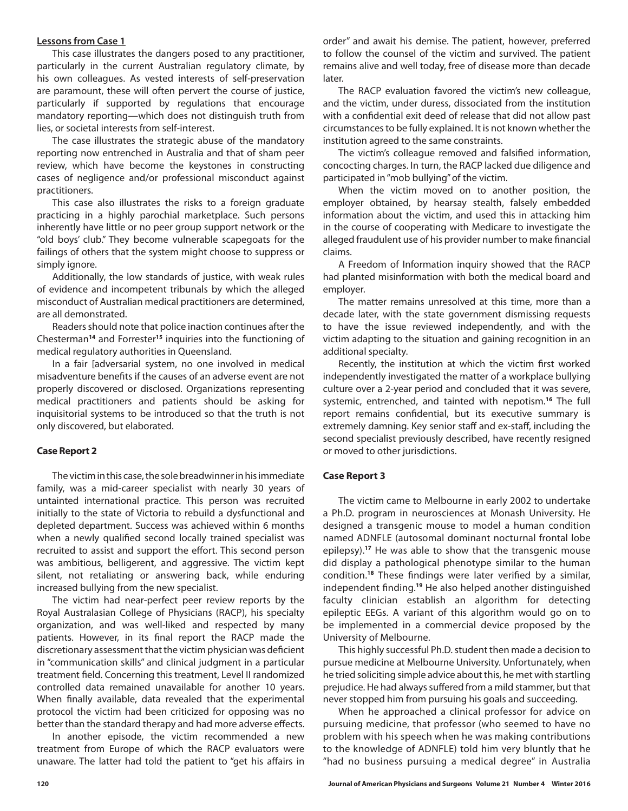#### **Lessons from Case 1**

This case illustrates the dangers posed to any practitioner, particularly in the current Australian regulatory climate, by his own colleagues. As vested interests of self-preservation are paramount, these will often pervert the course of justice, particularly if supported by regulations that encourage mandatory reporting—which does not distinguish truth from lies, or societal interests from self-interest.

The case illustrates the strategic abuse of the mandatory reporting now entrenched in Australia and that of sham peer review, which have become the keystones in constructing cases of negligence and/or professional misconduct against practitioners.

This case also illustrates the risks to a foreign graduate practicing in a highly parochial marketplace. Such persons inherently have little or no peer group support network or the "old boys' club." They become vulnerable scapegoats for the failings of others that the system might choose to suppress or simply ignore.

Additionally, the low standards of justice, with weak rules of evidence and incompetent tribunals by which the alleged misconduct of Australian medical practitioners are determined, are all demonstrated.

Readers should note that police inaction continues after the Chesterman**<sup>14</sup>** and Forrester**<sup>15</sup>** inquiries into the functioning of medical regulatory authorities in Queensland.

In a fair [adversarial system, no one involved in medical misadventure benefits if the causes of an adverse event are not properly discovered or disclosed. Organizations representing medical practitioners and patients should be asking for inquisitorial systems to be introduced so that the truth is not only discovered, but elaborated.

#### **Case Report 2**

The victim in this case, the sole breadwinner in his immediate family, was a mid-career specialist with nearly 30 years of untainted international practice. This person was recruited initially to the state of Victoria to rebuild a dysfunctional and depleted department. Success was achieved within 6 months when a newly qualified second locally trained specialist was recruited to assist and support the effort. This second person was ambitious, belligerent, and aggressive. The victim kept silent, not retaliating or answering back, while enduring increased bullying from the new specialist.

The victim had near-perfect peer review reports by the Royal Australasian College of Physicians (RACP), his specialty organization, and was well-liked and respected by many patients. However, in its final report the RACP made the discretionary assessment that the victim physician was deficient in "communication skills" and clinical judgment in a particular treatment field. Concerning this treatment, Level II randomized controlled data remained unavailable for another 10 years. When finally available, data revealed that the experimental protocol the victim had been criticized for opposing was no better than the standard therapy and had more adverse effects.

In another episode, the victim recommended a new treatment from Europe of which the RACP evaluators were unaware. The latter had told the patient to "get his affairs in

order" and await his demise. The patient, however, preferred to follow the counsel of the victim and survived. The patient remains alive and well today, free of disease more than decade later.

The RACP evaluation favored the victim's new colleague, and the victim, under duress, dissociated from the institution with a confidential exit deed of release that did not allow past circumstances to be fully explained. It is not known whether the institution agreed to the same constraints.

The victim's colleague removed and falsified information, concocting charges. In turn, the RACP lacked due diligence and participated in "mob bullying" of the victim.

When the victim moved on to another position, the employer obtained, by hearsay stealth, falsely embedded information about the victim, and used this in attacking him in the course of cooperating with Medicare to investigate the alleged fraudulent use of his provider number to make financial claims.

A Freedom of Information inquiry showed that the RACP had planted misinformation with both the medical board and employer.

The matter remains unresolved at this time, more than a decade later, with the state government dismissing requests to have the issue reviewed independently, and with the victim adapting to the situation and gaining recognition in an additional specialty.

Recently, the institution at which the victim first worked independently investigated the matter of a workplace bullying culture over a 2-year period and concluded that it was severe, systemic, entrenched, and tainted with nepotism.**<sup>16</sup>** The full report remains confidential, but its executive summary is extremely damning. Key senior staff and ex-staff, including the second specialist previously described, have recently resigned or moved to other jurisdictions.

#### **Case Report 3**

The victim came to Melbourne in early 2002 to undertake a Ph.D. program in neurosciences at Monash University. He designed a transgenic mouse to model a human condition named ADNFLE (autosomal dominant nocturnal frontal lobe epilepsy).**<sup>17</sup>** He was able to show that the transgenic mouse did display a pathological phenotype similar to the human condition.**<sup>18</sup>** These findings were later verified by a similar, independent finding.**<sup>19</sup>** He also helped another distinguished faculty clinician establish an algorithm for detecting epileptic EEGs. A variant of this algorithm would go on to be implemented in a commercial device proposed by the University of Melbourne.

This highly successful Ph.D. student then made a decision to pursue medicine at Melbourne University. Unfortunately, when he tried soliciting simple advice about this, he met with startling prejudice. He had always suffered from a mild stammer, but that never stopped him from pursuing his goals and succeeding.

When he approached a clinical professor for advice on pursuing medicine, that professor (who seemed to have no problem with his speech when he was making contributions to the knowledge of ADNFLE) told him very bluntly that he "had no business pursuing a medical degree" in Australia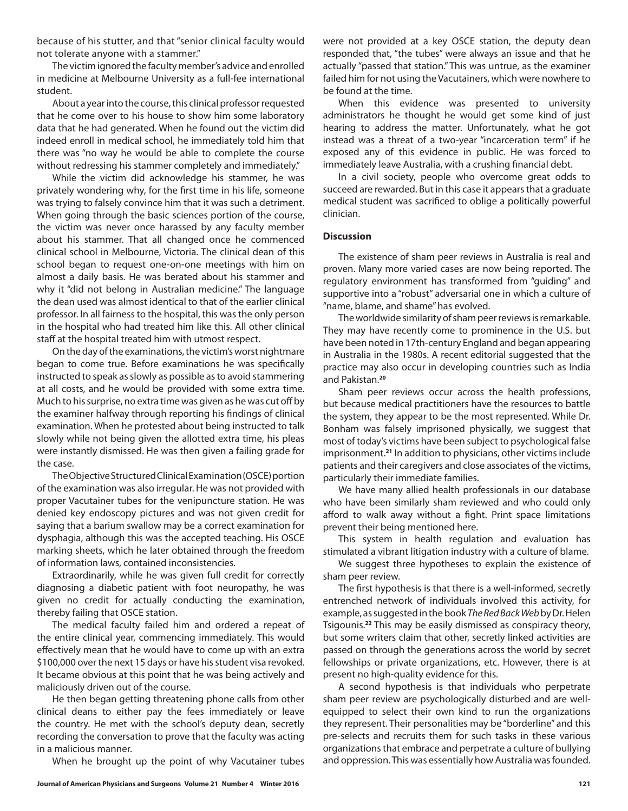because of his stutter, and that "senior clinical faculty would not tolerate anyone with a stammer."

The victim ignored the faculty member's advice and enrolled in medicine at Melbourne University as a full-fee international student.

About a year into the course, this clinical professor requested that he come over to his house to show him some laboratory data that he had generated. When he found out the victim did indeed enroll in medical school, he immediately told him that there was "no way he would be able to complete the course without redressing his stammer completely and immediately."

While the victim did acknowledge his stammer, he was privately wondering why, for the first time in his life, someone was trying to falsely convince him that it was such a detriment. When going through the basic sciences portion of the course, the victim was never once harassed by any faculty member about his stammer. That all changed once he commenced clinical school in Melbourne, Victoria. The clinical dean of this school began to request one-on-one meetings with him on almost a daily basis. He was berated about his stammer and why it "did not belong in Australian medicine." The language the dean used was almost identical to that of the earlier clinical professor. In all fairness to the hospital, this was the only person in the hospital who had treated him like this. All other clinical staff at the hospital treated him with utmost respect.

On the day of the examinations, the victim's worst nightmare began to come true. Before examinations he was specifically instructed to speak as slowly as possible as to avoid stammering at all costs, and he would be provided with some extra time. Much to his surprise, no extra time was given as he was cut off by the examiner halfway through reporting his findings of clinical examination. When he protested about being instructed to talk slowly while not being given the allotted extra time, his pleas were instantly dismissed. He was then given a failing grade for the case.

The Objective Structured Clinical Examination (OSCE) portion of the examination was also irregular. He was not provided with proper Vacutainer tubes for the venipuncture station. He was denied key endoscopy pictures and was not given credit for saying that a barium swallow may be a correct examination for dysphagia, although this was the accepted teaching. His OSCE marking sheets, which he later obtained through the freedom of information laws, contained inconsistencies.

Extraordinarily, while he was given full credit for correctly diagnosing a diabetic patient with foot neuropathy, he was given no credit for actually conducting the examination, thereby failing that OSCE station.

The medical faculty failed him and ordered a repeat of the entire clinical year, commencing immediately. This would effectively mean that he would have to come up with an extra \$100,000 over the next 15 days or have his student visa revoked. It became obvious at this point that he was being actively and maliciously driven out of the course.

He then began getting threatening phone calls from other clinical deans to either pay the fees immediately or leave the country. He met with the school's deputy dean, secretly recording the conversation to prove that the faculty was acting in a malicious manner.

When he brought up the point of why Vacutainer tubes

were not provided at a key OSCE station, the deputy dean responded that, "the tubes" were always an issue and that he actually "passed that station." This was untrue, as the examiner failed him for not using the Vacutainers, which were nowhere to be found at the time.

When this evidence was presented to university administrators he thought he would get some kind of just hearing to address the matter. Unfortunately, what he got instead was a threat of a two-year "incarceration term" if he exposed any of this evidence in public. He was forced to immediately leave Australia, with a crushing financial debt.

In a civil society, people who overcome great odds to succeed are rewarded. But in this case it appears that a graduate medical student was sacrificed to oblige a politically powerful clinician.

#### **Discussion**

The existence of sham peer reviews in Australia is real and proven. Many more varied cases are now being reported. The regulatory environment has transformed from "guiding" and supportive into a "robust" adversarial one in which a culture of "name, blame, and shame" has evolved.

The worldwide similarity of sham peer reviews is remarkable. They may have recently come to prominence in the U.S. but have been noted in 17th-century England and began appearing in Australia in the 1980s. A recent editorial suggested that the practice may also occur in developing countries such as India and Pakistan.**<sup>20</sup>**

Sham peer reviews occur across the health professions, but because medical practitioners have the resources to battle the system, they appear to be the most represented. While Dr. Bonham was falsely imprisoned physically, we suggest that most of today's victims have been subject to psychological false imprisonment.**<sup>21</sup>** In addition to physicians, other victims include patients and their caregivers and close associates of the victims, particularly their immediate families.

We have many allied health professionals in our database who have been similarly sham reviewed and who could only afford to walk away without a fight. Print space limitations prevent their being mentioned here.

This system in health regulation and evaluation has stimulated a vibrant litigation industry with a culture of blame.

We suggest three hypotheses to explain the existence of sham peer review.

The first hypothesis is that there is a well-informed, secretly entrenched network of individuals involved this activity, for example, as suggested in the book *The Red Back Web* by Dr. Helen Tsigounis.**<sup>22</sup>** This may be easily dismissed as conspiracy theory, but some writers claim that other, secretly linked activities are passed on through the generations across the world by secret fellowships or private organizations, etc. However, there is at present no high-quality evidence for this.

A second hypothesis is that individuals who perpetrate sham peer review are psychologically disturbed and are wellequipped to select their own kind to run the organizations they represent. Their personalities may be "borderline" and this pre-selects and recruits them for such tasks in these various organizations that embrace and perpetrate a culture of bullying and oppression. This was essentially how Australia was founded.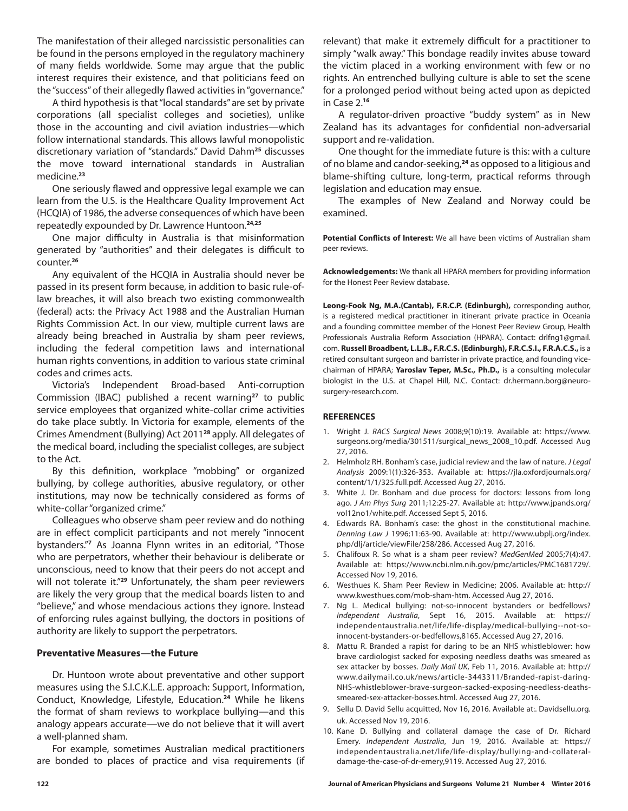The manifestation of their alleged narcissistic personalities can be found in the persons employed in the regulatory machinery of many fields worldwide. Some may argue that the public interest requires their existence, and that politicians feed on the "success" of their allegedly flawed activities in "governance."

A third hypothesis is that "local standards" are set by private corporations (all specialist colleges and societies), unlike those in the accounting and civil aviation industries—which follow international standards. This allows lawful monopolistic discretionary variation of "standards." David Dahm**<sup>25</sup>** discusses the move toward international standards in Australian medicine.**<sup>23</sup>**

One seriously flawed and oppressive legal example we can learn from the U.S. is the Healthcare Quality Improvement Act (HCQIA) of 1986, the adverse consequences of which have been repeatedly expounded by Dr. Lawrence Huntoon.**24,25**

One major difficulty in Australia is that misinformation generated by "authorities" and their delegates is difficult to counter.**<sup>26</sup>**

Any equivalent of the HCQIA in Australia should never be passed in its present form because, in addition to basic rule-oflaw breaches, it will also breach two existing commonwealth (federal) acts: the Privacy Act 1988 and the Australian Human Rights Commission Act. In our view, multiple current laws are already being breached in Australia by sham peer reviews, including the federal competition laws and international human rights conventions, in addition to various state criminal codes and crimes acts.

Victoria's Independent Broad-based Anti-corruption Commission (IBAC) published a recent warning**<sup>27</sup>** to public service employees that organized white-collar crime activities do take place subtly. In Victoria for example, elements of the Crimes Amendment (Bullying) Act 2011**<sup>28</sup>** apply. All delegates of the medical board, including the specialist colleges, are subject to the Act.

By this definition, workplace "mobbing" or organized bullying, by college authorities, abusive regulatory, or other institutions, may now be technically considered as forms of white-collar "organized crime."

Colleagues who observe sham peer review and do nothing are in effect complicit participants and not merely "innocent bystanders."**<sup>7</sup>** As Joanna Flynn writes in an editorial, "Those who are perpetrators, whether their behaviour is deliberate or unconscious, need to know that their peers do not accept and will not tolerate it."**<sup>29</sup>** Unfortunately, the sham peer reviewers are likely the very group that the medical boards listen to and "believe," and whose mendacious actions they ignore. Instead of enforcing rules against bullying, the doctors in positions of authority are likely to support the perpetrators.

#### **Preventative Measures—the Future**

Dr. Huntoon wrote about preventative and other support measures using the S.I.C.K.L.E. approach: Support, Information, Conduct, Knowledge, Lifestyle, Education.**<sup>24</sup>** While he likens the format of sham reviews to workplace bullying—and this analogy appears accurate—we do not believe that it will avert a well-planned sham.

For example, sometimes Australian medical practitioners are bonded to places of practice and visa requirements (if relevant) that make it extremely difficult for a practitioner to simply "walk away." This bondage readily invites abuse toward the victim placed in a working environment with few or no rights. An entrenched bullying culture is able to set the scene for a prolonged period without being acted upon as depicted in Case 2.**<sup>16</sup>**

A regulator-driven proactive "buddy system" as in New Zealand has its advantages for confidential non-adversarial support and re-validation.

One thought for the immediate future is this: with a culture of no blame and candor-seeking,**<sup>24</sup>** as opposed to a litigious and blame-shifting culture, long-term, practical reforms through legislation and education may ensue.

The examples of New Zealand and Norway could be examined.

**Potential Conflicts of Interest:** We all have been victims of Australian sham peer reviews.

**Acknowledgements:** We thank all HPARA members for providing information for the Honest Peer Review database.

**Leong-Fook Ng, M.A.(Cantab), F.R.C.P. (Edinburgh),** corresponding author, is a registered medical practitioner in itinerant private practice in Oceania and a founding committee member of the Honest Peer Review Group, Health Professionals Australia Reform Association (HPARA). Contact: drlfng1@gmail. com. **Russell Broadbent, L.L.B., F.R.C.S. (Edinburgh), F.R.C.S.I., F.R.A.C.S.,** is a retired consultant surgeon and barrister in private practice, and founding vicechairman of HPARA; **Yaroslav Teper, M.Sc., Ph.D.,** is a consulting molecular biologist in the U.S. at Chapel Hill, N.C. Contact: dr.hermann.borg@neurosurgery-research.com.

#### **REFERENCES**

- 1. Wright J. *RACS Surgical News* 2008;9(10):19. Available at: https://www. surgeons.org/media/301511/surgical\_news\_2008\_10.pdf. Accessed Aug 27, 2016.
- 2. Helmholz RH. Bonham's case, judicial review and the law of nature. *J Legal Analysis* 2009:1(1):326-353. Available at: https://jla.oxfordjournals.org/ content/1/1/325.full.pdf. Accessed Aug 27, 2016.
- 3. White J. Dr. Bonham and due process for doctors: lessons from long ago. *J Am Phys Surg* 2011;12:25-27. Available at: http://www.jpands.org/ vol12no1/white.pdf. Accessed Sept 5, 2016.
- 4. Edwards RA. Bonham's case: the ghost in the constitutional machine. *Denning Law J* 1996;11:63-90. Available at: http://www.ubplj.org/index. php/dlj/article/viewFile/258/286. Accessed Aug 27, 2016.
- 5. Chalifoux R. So what is a sham peer review? *MedGenMed* 2005;7(4):47. Available at: https://www.ncbi.nlm.nih.gov/pmc/articles/PMC1681729/. Accessed Nov 19, 2016.
- 6. Westhues K. Sham Peer Review in Medicine; 2006. Available at: http:// www.kwesthues.com/mob-sham-htm. Accessed Aug 27, 2016.
- 7. Ng L. Medical bullying: not-so-innocent bystanders or bedfellows? *Independent Australia*, Sept 16, 2015. Available at: https:// independentaustralia.net/life/life-display/medical-bullying--not-soinnocent-bystanders-or-bedfellows,8165. Accessed Aug 27, 2016.
- 8. Mattu R. Branded a rapist for daring to be an NHS whistleblower: how brave cardiologist sacked for exposing needless deaths was smeared as sex attacker by bosses. *Daily Mail UK*, Feb 11, 2016. Available at: http:// www.dailymail.co.uk/news/article-3443311/Branded-rapist-daring-NHS-whistleblower-brave-surgeon-sacked-exposing-needless-deathssmeared-sex-attacker-bosses.html. Accessed Aug 27, 2016.
- 9. Sellu D. David Sellu acquitted, Nov 16, 2016. Available at:. Davidsellu.org. uk. Accessed Nov 19, 2016.
- 10. Kane D. Bullying and collateral damage the case of Dr. Richard Emery. *Independent Australia*, Jun 19, 2016. Available at: https:// independentaustralia.net/life/life-display/bullying-and-collateraldamage-the-case-of-dr-emery,9119. Accessed Aug 27, 2016.